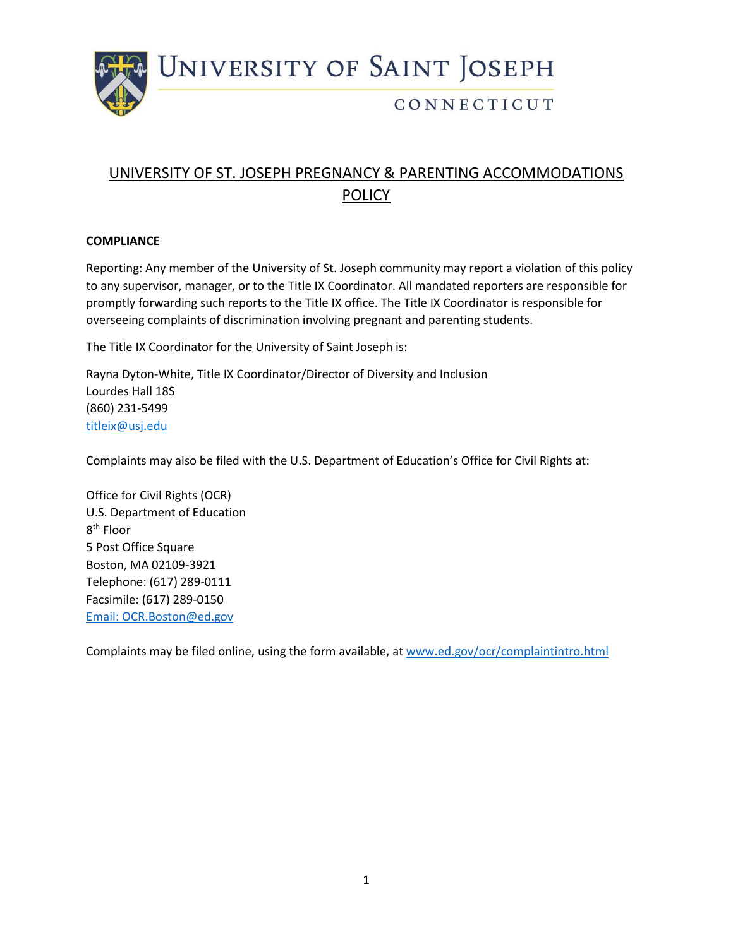

## CONNECTICUT

# UNIVERSITY OF ST. JOSEPH PREGNANCY & PARENTING ACCOMMODATIONS POLICY

#### **COMPLIANCE**

Reporting: Any member of the University of St. Joseph community may report a violation of this policy to any supervisor, manager, or to the Title IX Coordinator. All mandated reporters are responsible for promptly forwarding such reports to the Title IX office. The Title IX Coordinator is responsible for overseeing complaints of discrimination involving pregnant and parenting students.

The Title IX Coordinator for the University of Saint Joseph is:

Rayna Dyton-White, Title IX Coordinator/Director of Diversity and Inclusion Lourdes Hall 18S (860) 231-5499 [titleix@usj.edu](about:blank)

Complaints may also be filed with the U.S. Department of Education's Office for Civil Rights at:

Office for Civil Rights (OCR) U.S. Department of Education 8<sup>th</sup> Floor 5 Post Office Square Boston, MA 02109-3921 Telephone: (617) 289-0111 Facsimile: (617) 289-0150 [Email: OCR.Boston@ed.gov](about:blank)

Complaints may be filed online, using the form available, at [www.ed.gov/ocr/complaintintro.html](about:blank)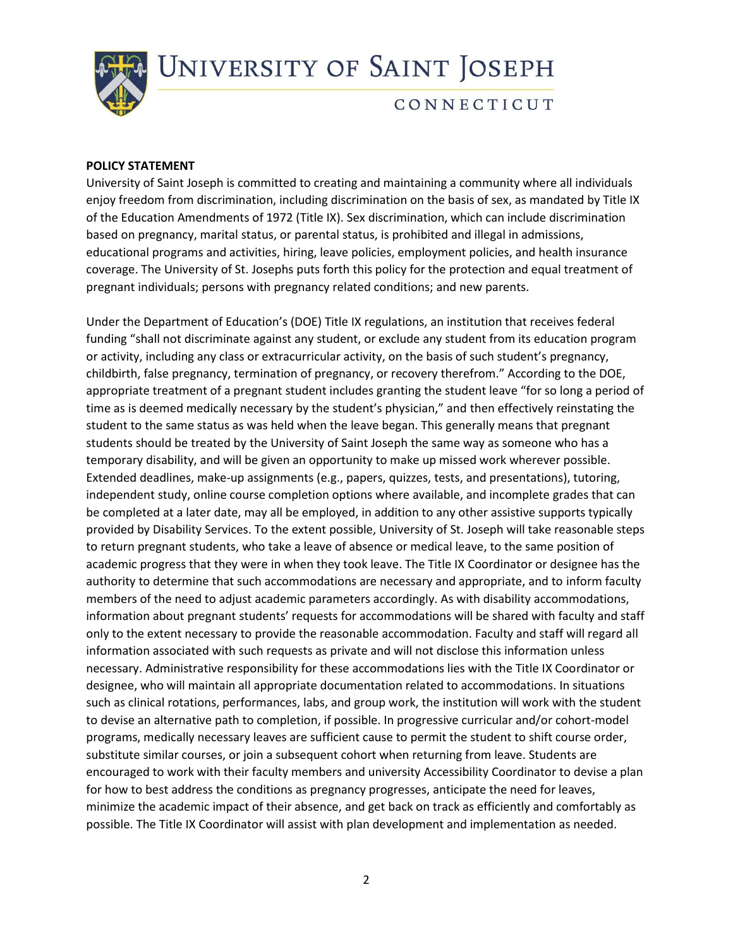

### CONNECTICUT

#### **POLICY STATEMENT**

University of Saint Joseph is committed to creating and maintaining a community where all individuals enjoy freedom from discrimination, including discrimination on the basis of sex, as mandated by Title IX of the Education Amendments of 1972 (Title IX). Sex discrimination, which can include discrimination based on pregnancy, marital status, or parental status, is prohibited and illegal in admissions, educational programs and activities, hiring, leave policies, employment policies, and health insurance coverage. The University of St. Josephs puts forth this policy for the protection and equal treatment of pregnant individuals; persons with pregnancy related conditions; and new parents.

Under the Department of Education's (DOE) Title IX regulations, an institution that receives federal funding "shall not discriminate against any student, or exclude any student from its education program or activity, including any class or extracurricular activity, on the basis of such student's pregnancy, childbirth, false pregnancy, termination of pregnancy, or recovery therefrom." According to the DOE, appropriate treatment of a pregnant student includes granting the student leave "for so long a period of time as is deemed medically necessary by the student's physician," and then effectively reinstating the student to the same status as was held when the leave began. This generally means that pregnant students should be treated by the University of Saint Joseph the same way as someone who has a temporary disability, and will be given an opportunity to make up missed work wherever possible. Extended deadlines, make-up assignments (e.g., papers, quizzes, tests, and presentations), tutoring, independent study, online course completion options where available, and incomplete grades that can be completed at a later date, may all be employed, in addition to any other assistive supports typically provided by Disability Services. To the extent possible, University of St. Joseph will take reasonable steps to return pregnant students, who take a leave of absence or medical leave, to the same position of academic progress that they were in when they took leave. The Title IX Coordinator or designee has the authority to determine that such accommodations are necessary and appropriate, and to inform faculty members of the need to adjust academic parameters accordingly. As with disability accommodations, information about pregnant students' requests for accommodations will be shared with faculty and staff only to the extent necessary to provide the reasonable accommodation. Faculty and staff will regard all information associated with such requests as private and will not disclose this information unless necessary. Administrative responsibility for these accommodations lies with the Title IX Coordinator or designee, who will maintain all appropriate documentation related to accommodations. In situations such as clinical rotations, performances, labs, and group work, the institution will work with the student to devise an alternative path to completion, if possible. In progressive curricular and/or cohort-model programs, medically necessary leaves are sufficient cause to permit the student to shift course order, substitute similar courses, or join a subsequent cohort when returning from leave. Students are encouraged to work with their faculty members and university Accessibility Coordinator to devise a plan for how to best address the conditions as pregnancy progresses, anticipate the need for leaves, minimize the academic impact of their absence, and get back on track as efficiently and comfortably as possible. The Title IX Coordinator will assist with plan development and implementation as needed.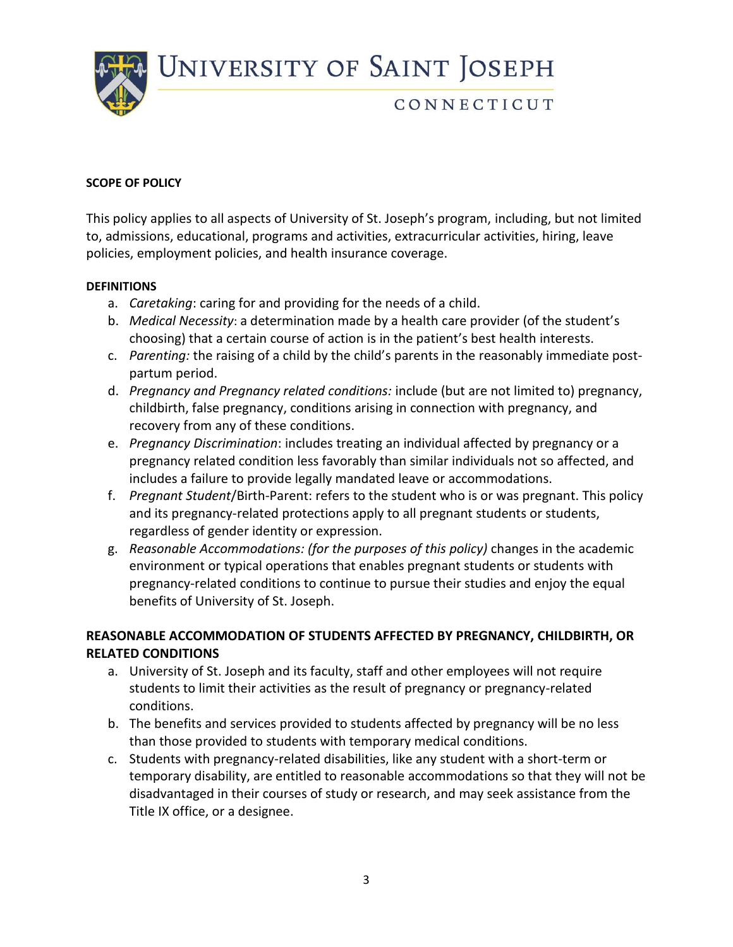

## CONNECTICUT

#### **SCOPE OF POLICY**

This policy applies to all aspects of University of St. Joseph's program, including, but not limited to, admissions, educational, programs and activities, extracurricular activities, hiring, leave policies, employment policies, and health insurance coverage.

#### **DEFINITIONS**

- a. *Caretaking*: caring for and providing for the needs of a child.
- b. *Medical Necessity*: a determination made by a health care provider (of the student's choosing) that a certain course of action is in the patient's best health interests.
- c. *Parenting:* the raising of a child by the child's parents in the reasonably immediate postpartum period.
- d. *Pregnancy and Pregnancy related conditions:* include (but are not limited to) pregnancy, childbirth, false pregnancy, conditions arising in connection with pregnancy, and recovery from any of these conditions.
- e. *Pregnancy Discrimination*: includes treating an individual affected by pregnancy or a pregnancy related condition less favorably than similar individuals not so affected, and includes a failure to provide legally mandated leave or accommodations.
- f. *Pregnant Student*/Birth-Parent: refers to the student who is or was pregnant. This policy and its pregnancy-related protections apply to all pregnant students or students, regardless of gender identity or expression.
- g. *Reasonable Accommodations: (for the purposes of this policy)* changes in the academic environment or typical operations that enables pregnant students or students with pregnancy-related conditions to continue to pursue their studies and enjoy the equal benefits of University of St. Joseph.

### **REASONABLE ACCOMMODATION OF STUDENTS AFFECTED BY PREGNANCY, CHILDBIRTH, OR RELATED CONDITIONS**

- a. University of St. Joseph and its faculty, staff and other employees will not require students to limit their activities as the result of pregnancy or pregnancy-related conditions.
- b. The benefits and services provided to students affected by pregnancy will be no less than those provided to students with temporary medical conditions.
- c. Students with pregnancy-related disabilities, like any student with a short-term or temporary disability, are entitled to reasonable accommodations so that they will not be disadvantaged in their courses of study or research, and may seek assistance from the Title IX office, or a designee.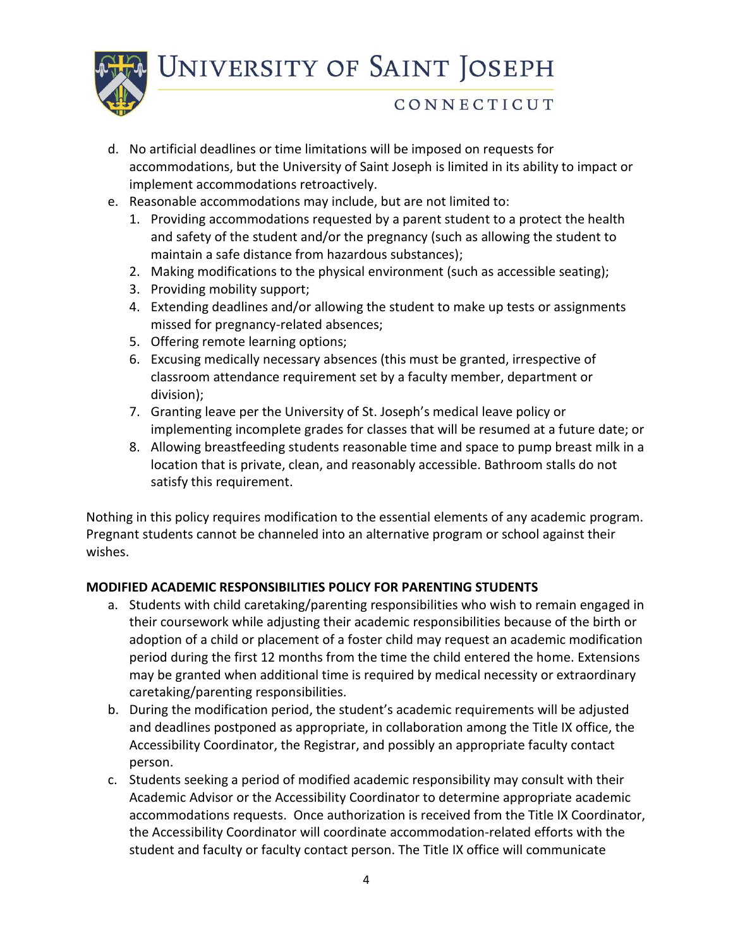

## CONNECTICUT

- d. No artificial deadlines or time limitations will be imposed on requests for accommodations, but the University of Saint Joseph is limited in its ability to impact or implement accommodations retroactively.
- e. Reasonable accommodations may include, but are not limited to:
	- 1. Providing accommodations requested by a parent student to a protect the health and safety of the student and/or the pregnancy (such as allowing the student to maintain a safe distance from hazardous substances);
	- 2. Making modifications to the physical environment (such as accessible seating);
	- 3. Providing mobility support;
	- 4. Extending deadlines and/or allowing the student to make up tests or assignments missed for pregnancy-related absences;
	- 5. Offering remote learning options;
	- 6. Excusing medically necessary absences (this must be granted, irrespective of classroom attendance requirement set by a faculty member, department or division);
	- 7. Granting leave per the University of St. Joseph's medical leave policy or implementing incomplete grades for classes that will be resumed at a future date; or
	- 8. Allowing breastfeeding students reasonable time and space to pump breast milk in a location that is private, clean, and reasonably accessible. Bathroom stalls do not satisfy this requirement.

Nothing in this policy requires modification to the essential elements of any academic program. Pregnant students cannot be channeled into an alternative program or school against their wishes.

### **MODIFIED ACADEMIC RESPONSIBILITIES POLICY FOR PARENTING STUDENTS**

- a. Students with child caretaking/parenting responsibilities who wish to remain engaged in their coursework while adjusting their academic responsibilities because of the birth or adoption of a child or placement of a foster child may request an academic modification period during the first 12 months from the time the child entered the home. Extensions may be granted when additional time is required by medical necessity or extraordinary caretaking/parenting responsibilities.
- b. During the modification period, the student's academic requirements will be adjusted and deadlines postponed as appropriate, in collaboration among the Title IX office, the Accessibility Coordinator, the Registrar, and possibly an appropriate faculty contact person.
- c. Students seeking a period of modified academic responsibility may consult with their Academic Advisor or the Accessibility Coordinator to determine appropriate academic accommodations requests. Once authorization is received from the Title IX Coordinator, the Accessibility Coordinator will coordinate accommodation-related efforts with the student and faculty or faculty contact person. The Title IX office will communicate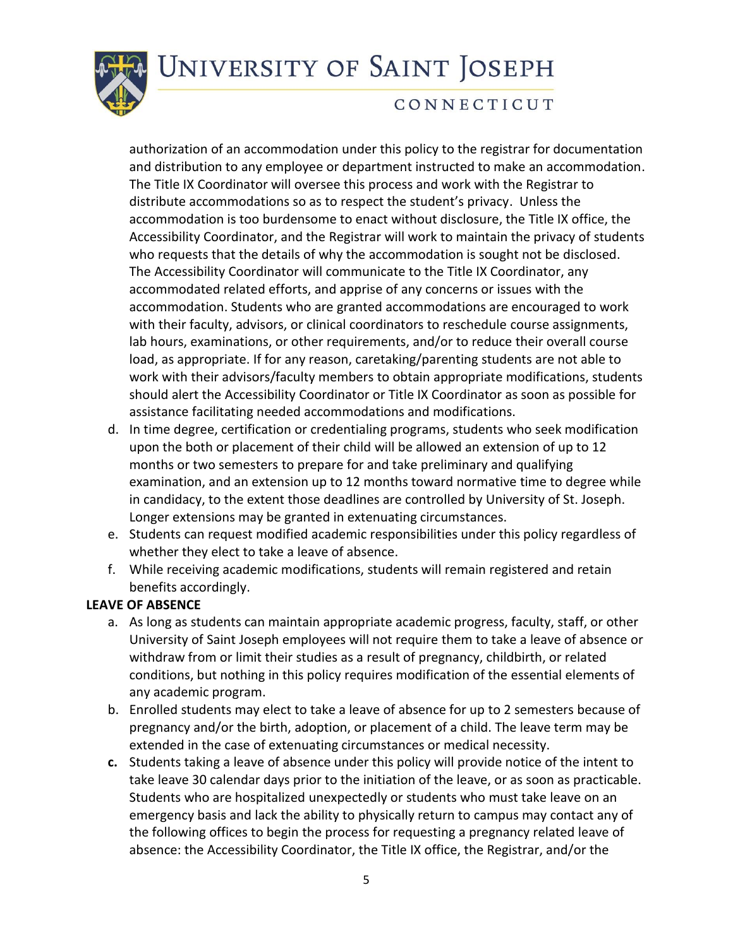

## CONNECTICUT

authorization of an accommodation under this policy to the registrar for documentation and distribution to any employee or department instructed to make an accommodation. The Title IX Coordinator will oversee this process and work with the Registrar to distribute accommodations so as to respect the student's privacy. Unless the accommodation is too burdensome to enact without disclosure, the Title IX office, the Accessibility Coordinator, and the Registrar will work to maintain the privacy of students who requests that the details of why the accommodation is sought not be disclosed. The Accessibility Coordinator will communicate to the Title IX Coordinator, any accommodated related efforts, and apprise of any concerns or issues with the accommodation. Students who are granted accommodations are encouraged to work with their faculty, advisors, or clinical coordinators to reschedule course assignments, lab hours, examinations, or other requirements, and/or to reduce their overall course load, as appropriate. If for any reason, caretaking/parenting students are not able to work with their advisors/faculty members to obtain appropriate modifications, students should alert the Accessibility Coordinator or Title IX Coordinator as soon as possible for assistance facilitating needed accommodations and modifications.

- d. In time degree, certification or credentialing programs, students who seek modification upon the both or placement of their child will be allowed an extension of up to 12 months or two semesters to prepare for and take preliminary and qualifying examination, and an extension up to 12 months toward normative time to degree while in candidacy, to the extent those deadlines are controlled by University of St. Joseph. Longer extensions may be granted in extenuating circumstances.
- e. Students can request modified academic responsibilities under this policy regardless of whether they elect to take a leave of absence.
- f. While receiving academic modifications, students will remain registered and retain benefits accordingly.

### **LEAVE OF ABSENCE**

- a. As long as students can maintain appropriate academic progress, faculty, staff, or other University of Saint Joseph employees will not require them to take a leave of absence or withdraw from or limit their studies as a result of pregnancy, childbirth, or related conditions, but nothing in this policy requires modification of the essential elements of any academic program.
- b. Enrolled students may elect to take a leave of absence for up to 2 semesters because of pregnancy and/or the birth, adoption, or placement of a child. The leave term may be extended in the case of extenuating circumstances or medical necessity.
- **c.** Students taking a leave of absence under this policy will provide notice of the intent to take leave 30 calendar days prior to the initiation of the leave, or as soon as practicable. Students who are hospitalized unexpectedly or students who must take leave on an emergency basis and lack the ability to physically return to campus may contact any of the following offices to begin the process for requesting a pregnancy related leave of absence: the Accessibility Coordinator, the Title IX office, the Registrar, and/or the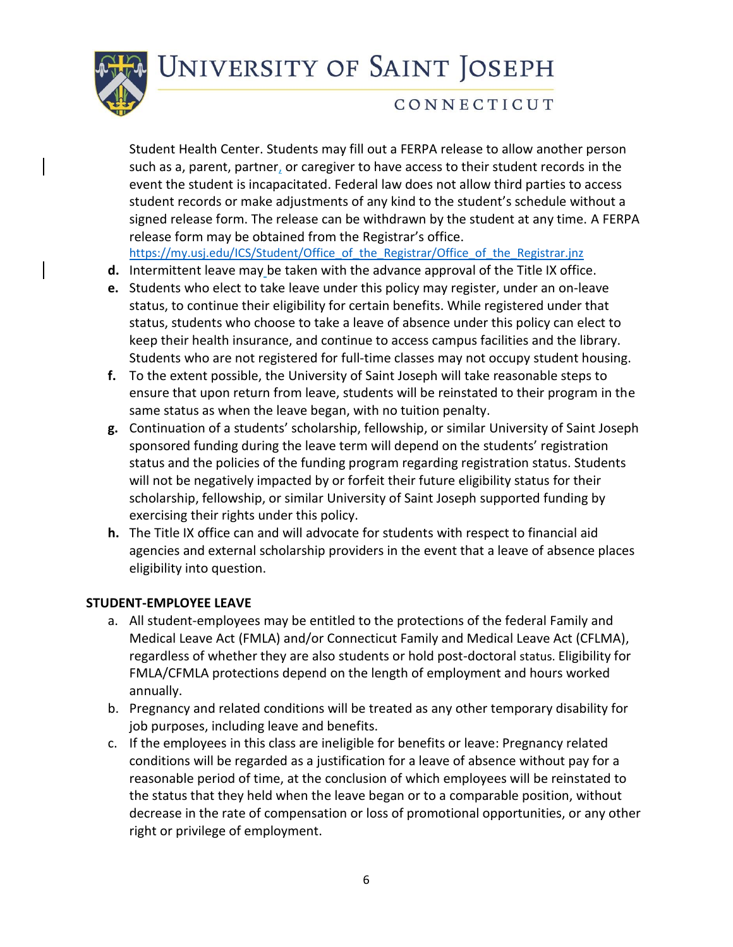

## CONNECTICUT

Student Health Center. Students may fill out a FERPA release to allow another person such as a, parent, partner, or caregiver to have access to their student records in the event the student is incapacitated. Federal law does not allow third parties to access student records or make adjustments of any kind to the student's schedule without a signed release form. The release can be withdrawn by the student at any time. A FERPA release form may be obtained from the Registrar's office.

[https://my.usj.edu/ICS/Student/Office\\_of\\_the\\_Registrar/Office\\_of\\_the\\_Registrar.jnz](about:blank)

- **d.** Intermittent leave may be taken with the advance approval of the Title IX office.
- **e.** Students who elect to take leave under this policy may register, under an on-leave status, to continue their eligibility for certain benefits. While registered under that status, students who choose to take a leave of absence under this policy can elect to keep their health insurance, and continue to access campus facilities and the library. Students who are not registered for full-time classes may not occupy student housing.
- **f.** To the extent possible, the University of Saint Joseph will take reasonable steps to ensure that upon return from leave, students will be reinstated to their program in the same status as when the leave began, with no tuition penalty.
- **g.** Continuation of a students' scholarship, fellowship, or similar University of Saint Joseph sponsored funding during the leave term will depend on the students' registration status and the policies of the funding program regarding registration status. Students will not be negatively impacted by or forfeit their future eligibility status for their scholarship, fellowship, or similar University of Saint Joseph supported funding by exercising their rights under this policy.
- **h.** The Title IX office can and will advocate for students with respect to financial aid agencies and external scholarship providers in the event that a leave of absence places eligibility into question.

### **STUDENT-EMPLOYEE LEAVE**

- a. All student-employees may be entitled to the protections of the federal Family and Medical Leave Act (FMLA) and/or Connecticut Family and Medical Leave Act (CFLMA), regardless of whether they are also students or hold post-doctoral status. Eligibility for FMLA/CFMLA protections depend on the length of employment and hours worked annually.
- b. Pregnancy and related conditions will be treated as any other temporary disability for job purposes, including leave and benefits.
- c. If the employees in this class are ineligible for benefits or leave: Pregnancy related conditions will be regarded as a justification for a leave of absence without pay for a reasonable period of time, at the conclusion of which employees will be reinstated to the status that they held when the leave began or to a comparable position, without decrease in the rate of compensation or loss of promotional opportunities, or any other right or privilege of employment.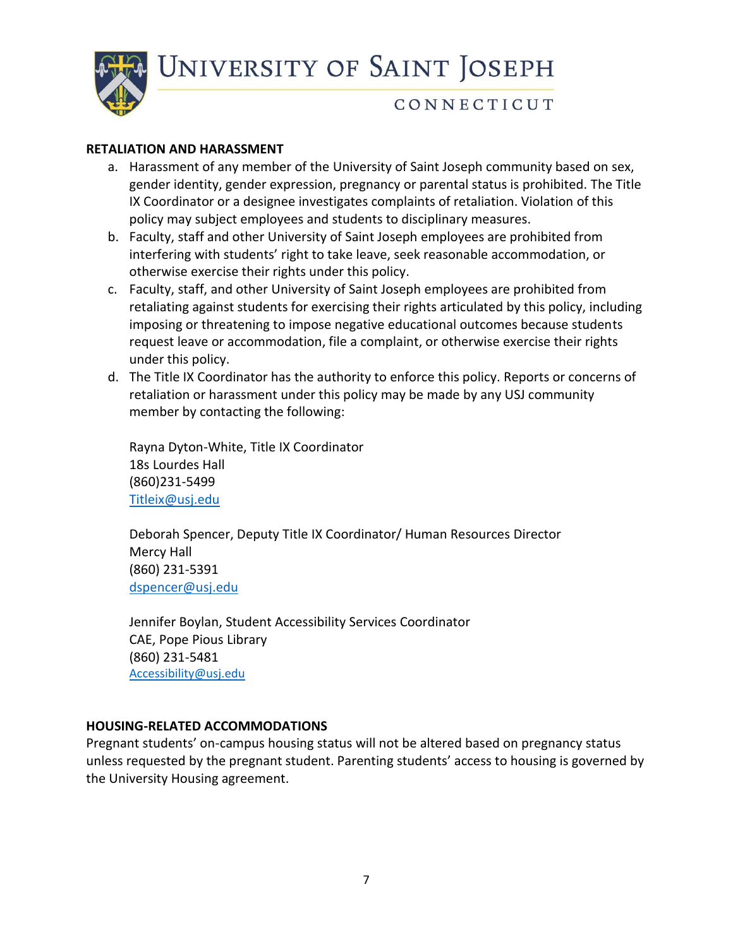

## CONNECTICUT

#### **RETALIATION AND HARASSMENT**

- a. Harassment of any member of the University of Saint Joseph community based on sex, gender identity, gender expression, pregnancy or parental status is prohibited. The Title IX Coordinator or a designee investigates complaints of retaliation. Violation of this policy may subject employees and students to disciplinary measures.
- b. Faculty, staff and other University of Saint Joseph employees are prohibited from interfering with students' right to take leave, seek reasonable accommodation, or otherwise exercise their rights under this policy.
- c. Faculty, staff, and other University of Saint Joseph employees are prohibited from retaliating against students for exercising their rights articulated by this policy, including imposing or threatening to impose negative educational outcomes because students request leave or accommodation, file a complaint, or otherwise exercise their rights under this policy.
- d. The Title IX Coordinator has the authority to enforce this policy. Reports or concerns of retaliation or harassment under this policy may be made by any USJ community member by contacting the following:

Rayna Dyton-White, Title IX Coordinator 18s Lourdes Hall (860)231-5499 [Titleix@usj.edu](about:blank)

Deborah Spencer, Deputy Title IX Coordinator/ Human Resources Director Mercy Hall (860) 231-5391 [dspencer@usj.edu](about:blank)

Jennifer Boylan, Student Accessibility Services Coordinator CAE, Pope Pious Library (860) 231-5481 [Accessibility@usj.edu](about:blank)

### **HOUSING-RELATED ACCOMMODATIONS**

Pregnant students' on-campus housing status will not be altered based on pregnancy status unless requested by the pregnant student. Parenting students' access to housing is governed by the University Housing agreement.